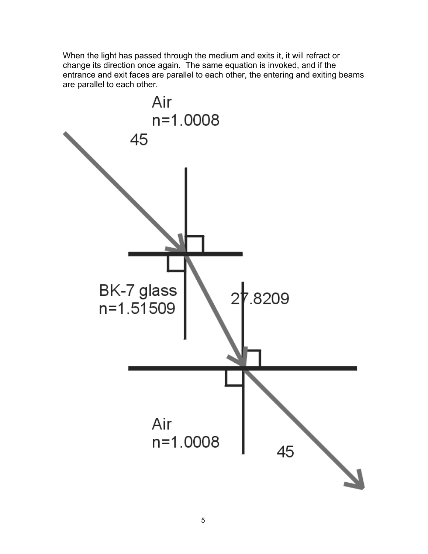When the light has passed through the medium and exits it, it will refract or change its direction once again. The same equation is invoked, and if the entrance and exit faces are parallel to each other, the entering and exiting beams are parallel to each other.

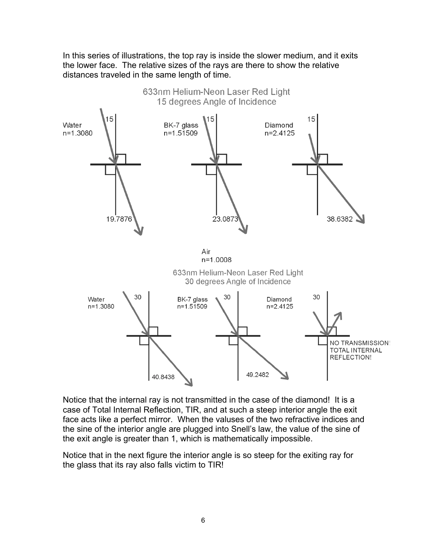In this series of illustrations, the top ray is inside the slower medium, and it exits the lower face. The relative sizes of the rays are there to show the relative distances traveled in the same length of time.



Notice that the internal ray is not transmitted in the case of the diamond! It is a case of Total Internal Reflection, TIR, and at such a steep interior angle the exit face acts like a perfect mirror. When the valuses of the two refractive indices and the sine of the interior angle are plugged into Snell's law, the value of the sine of the exit angle is greater than 1, which is mathematically impossible.

Notice that in the next figure the interior angle is so steep for the exiting ray for the glass that its ray also falls victim to TIR!